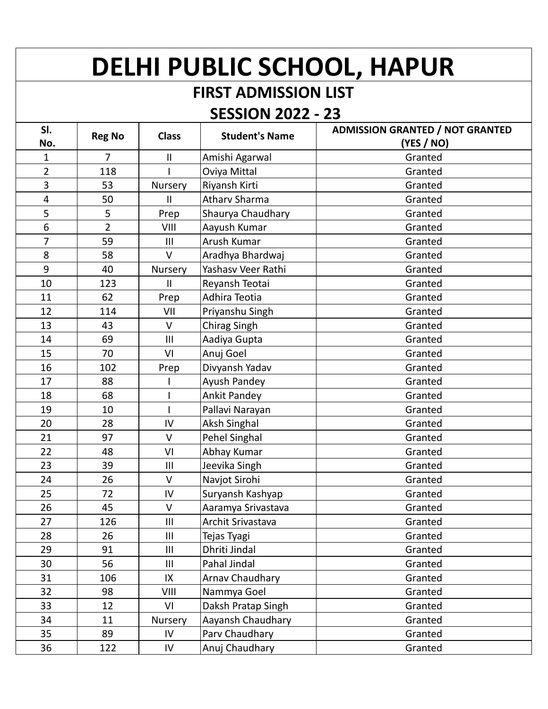## **DELHI PUBLIC SCHOOL, HAPUR**

## **FIRST ADMISSION LIST**

## **SESSION 2022 - 23**

| SI.<br>No.     | <b>Reg No</b>  | <b>Class</b>   | <b>Student's Name</b> | <b>ADMISSION GRANTED / NOT GRANTED</b><br>(YES / NO) |
|----------------|----------------|----------------|-----------------------|------------------------------------------------------|
| 1              | 7              | $\mathbf{II}$  | Amishi Agarwal        | Granted                                              |
| $\overline{2}$ | 118            |                | Oviya Mittal          | Granted                                              |
| 3              | 53             | Nursery        | Riyansh Kirti         | Granted                                              |
| 4              | 50             | $\mathbf{H}$   | <b>Atharv Sharma</b>  | Granted                                              |
| 5              | 5              | Prep           | Shaurya Chaudhary     | Granted                                              |
| 6              | $\overline{2}$ | VIII           | Aayush Kumar          | Granted                                              |
| $\overline{7}$ | 59             | $\mathbf{III}$ | Arush Kumar           | Granted                                              |
| 8              | 58             | $\vee$         | Aradhya Bhardwaj      | Granted                                              |
| 9              | 40             | Nursery        | Yashasv Veer Rathi    | Granted                                              |
| 10             | 123            | $\mathbf{II}$  | Reyansh Teotai        | Granted                                              |
| 11             | 62             | Prep           | Adhira Teotia         | Granted                                              |
| 12             | 114            | VII            | Priyanshu Singh       | Granted                                              |
| 13             | 43             | $\vee$         | Chirag Singh          | Granted                                              |
| 14             | 69             | III            | Aadiya Gupta          | Granted                                              |
| 15             | 70             | VI             | Anuj Goel             | Granted                                              |
| 16             | 102            | Prep           | Divyansh Yadav        | Granted                                              |
| 17             | 88             |                | Ayush Pandey          | Granted                                              |
| 18             | 68             | I              | <b>Ankit Pandey</b>   | Granted                                              |
| 19             | 10             |                | Pallavi Narayan       | Granted                                              |
| 20             | 28             | IV             | Aksh Singhal          | Granted                                              |
| 21             | 97             | $\vee$         | Pehel Singhal         | Granted                                              |
| 22             | 48             | VI             | Abhay Kumar           | Granted                                              |
| 23             | 39             | III            | Jeevika Singh         | Granted                                              |
| 24             | 26             | $\vee$         | Navjot Sirohi         | Granted                                              |
| 25             | 72             | IV             | Suryansh Kashyap      | Granted                                              |
| 26             | 45             | V              | Aaramya Srivastava    | Granted                                              |
| 27             | 126            | $\mathbf{III}$ | Archit Srivastava     | Granted                                              |
| 28             | 26             | $\mathbf{III}$ | Tejas Tyagi           | Granted                                              |
| 29             | 91             | $\mathbf{III}$ | Dhriti Jindal         | Granted                                              |
| 30             | 56             | $\mathbf{III}$ | Pahal Jindal          | Granted                                              |
| 31             | 106            | IX             | Arnav Chaudhary       | Granted                                              |
| 32             | 98             | VIII           | Nammya Goel           | Granted                                              |
| 33             | 12             | VI             | Daksh Pratap Singh    | Granted                                              |
| 34             | 11             | Nursery        | Aayansh Chaudhary     | Granted                                              |
| 35             | 89             | IV             | Parv Chaudhary        | Granted                                              |
| 36             | 122            | ${\sf IV}$     | Anuj Chaudhary        | Granted                                              |